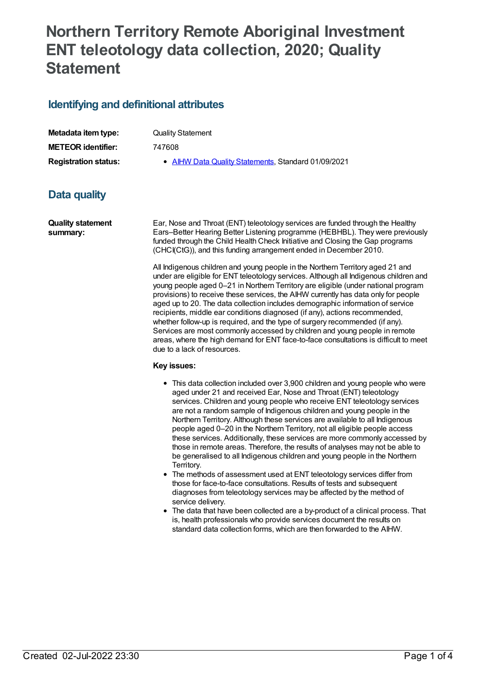# **Northern Territory Remote Aboriginal Investment ENT teleotology data collection, 2020; Quality Statement**

### **Identifying and definitional attributes**

| Metadata item type:         | <b>Quality Statement</b>                            |
|-----------------------------|-----------------------------------------------------|
| <b>METEOR identifier:</b>   | 747608                                              |
| <b>Registration status:</b> | • AIHW Data Quality Statements, Standard 01/09/2021 |

# **Data quality**

**Quality statement summary:**

Ear, Nose and Throat (ENT) teleotology services are funded through the Healthy Ears–Better Hearing Better Listening programme (HEBHBL). They were previously funded through the Child Health Check Initiative and Closing the Gap programs (CHCI(CtG)), and this funding arrangement ended in December 2010.

All Indigenous children and young people in the Northern Territory aged 21 and under are eligible for ENT teleotology services. Although all Indigenous children and young people aged 0–21 in Northern Territory are eligible (under national program provisions) to receive these services, the AIHW currently has data only for people aged up to 20. The data collection includes demographic information of service recipients, middle ear conditions diagnosed (if any), actions recommended, whether follow-up is required, and the type of surgery recommended (if any). Services are most commonly accessed by children and young people in remote areas, where the high demand for ENT face-to-face consultations is difficult to meet due to a lack of resources.

#### **Key issues:**

- This data collection included over 3,900 children and young people who were aged under 21 and received Ear, Nose and Throat (ENT) teleotology services. Children and young people who receive ENT teleotology services are not a random sample of Indigenous children and young people in the Northern Territory. Although these services are available to all Indigenous people aged 0–20 in the Northern Territory, not all eligible people access these services. Additionally, these services are more commonly accessed by those in remote areas. Therefore, the results of analyses may not be able to be generalised to all Indigenous children and young people in the Northern Territory.
- The methods of assessment used at ENT teleotology services differ from those for face-to-face consultations. Results of tests and subsequent diagnoses from teleotology services may be affected by the method of service delivery.
- The data that have been collected are a by-product of a clinical process. That is, health professionals who provide services document the results on standard data collection forms, which are then forwarded to the AIHW.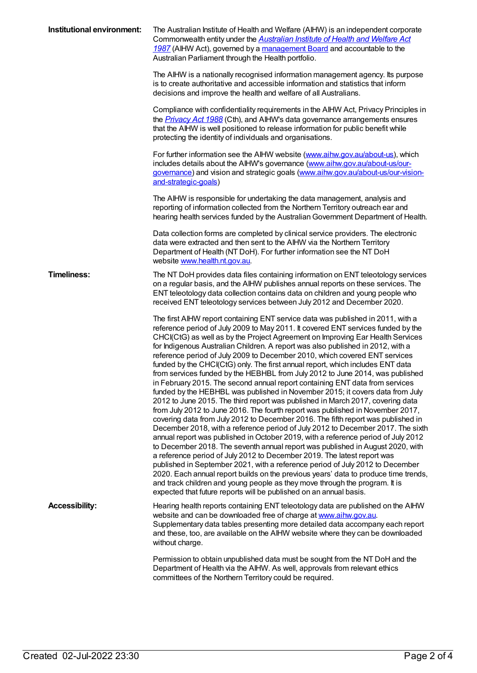| Institutional environment: | The Australian Institute of Health and Welfare (AIHW) is an independent corporate<br>Commonwealth entity under the <b>Australian Institute of Health and Welfare Act</b><br>1987 (AIHW Act), governed by a management Board and accountable to the<br>Australian Parliament through the Health portfolio.                                                                                                                                                                                                                                                                                                                                                                                                                                                                                                                                                                                                                                                                                                                                                                                                                                                                                                                                                                                                                                                                                                                                                                                                                                                                                                                                                                            |
|----------------------------|--------------------------------------------------------------------------------------------------------------------------------------------------------------------------------------------------------------------------------------------------------------------------------------------------------------------------------------------------------------------------------------------------------------------------------------------------------------------------------------------------------------------------------------------------------------------------------------------------------------------------------------------------------------------------------------------------------------------------------------------------------------------------------------------------------------------------------------------------------------------------------------------------------------------------------------------------------------------------------------------------------------------------------------------------------------------------------------------------------------------------------------------------------------------------------------------------------------------------------------------------------------------------------------------------------------------------------------------------------------------------------------------------------------------------------------------------------------------------------------------------------------------------------------------------------------------------------------------------------------------------------------------------------------------------------------|
|                            | The AIHW is a nationally recognised information management agency. Its purpose<br>is to create authoritative and accessible information and statistics that inform<br>decisions and improve the health and welfare of all Australians.                                                                                                                                                                                                                                                                                                                                                                                                                                                                                                                                                                                                                                                                                                                                                                                                                                                                                                                                                                                                                                                                                                                                                                                                                                                                                                                                                                                                                                               |
|                            | Compliance with confidentiality requirements in the AIHW Act, Privacy Principles in<br>the <b>Privacy Act 1988</b> (Cth), and AIHW's data governance arrangements ensures<br>that the AIHW is well positioned to release information for public benefit while<br>protecting the identity of individuals and organisations.                                                                                                                                                                                                                                                                                                                                                                                                                                                                                                                                                                                                                                                                                                                                                                                                                                                                                                                                                                                                                                                                                                                                                                                                                                                                                                                                                           |
|                            | For further information see the AIHW website (www.aihw.gov.au/about-us), which<br>includes details about the AIHW's governance (www.aihw.gov.au/about-us/our-<br>governance) and vision and strategic goals (www.aihw.gov.au/about-us/our-vision-<br>and-strategic-goals)                                                                                                                                                                                                                                                                                                                                                                                                                                                                                                                                                                                                                                                                                                                                                                                                                                                                                                                                                                                                                                                                                                                                                                                                                                                                                                                                                                                                            |
|                            | The AIHW is responsible for undertaking the data management, analysis and<br>reporting of information collected from the Northern Territory outreach ear and<br>hearing health services funded by the Australian Government Department of Health.                                                                                                                                                                                                                                                                                                                                                                                                                                                                                                                                                                                                                                                                                                                                                                                                                                                                                                                                                                                                                                                                                                                                                                                                                                                                                                                                                                                                                                    |
|                            | Data collection forms are completed by clinical service providers. The electronic<br>data were extracted and then sent to the AIHW via the Northern Territory<br>Department of Health (NT DoH). For further information see the NT DoH<br>website www.health.nt.gov.au.                                                                                                                                                                                                                                                                                                                                                                                                                                                                                                                                                                                                                                                                                                                                                                                                                                                                                                                                                                                                                                                                                                                                                                                                                                                                                                                                                                                                              |
| <b>Timeliness:</b>         | The NT DoH provides data files containing information on ENT teleotology services<br>on a regular basis, and the AIHW publishes annual reports on these services. The<br>ENT teleotology data collection contains data on children and young people who<br>received ENT teleotology services between July 2012 and December 2020.                                                                                                                                                                                                                                                                                                                                                                                                                                                                                                                                                                                                                                                                                                                                                                                                                                                                                                                                                                                                                                                                                                                                                                                                                                                                                                                                                    |
|                            | The first AIHW report containing ENT service data was published in 2011, with a<br>reference period of July 2009 to May 2011. It covered ENT services funded by the<br>CHCI(CtG) as well as by the Project Agreement on Improving Ear Health Services<br>for Indigenous Australian Children. A report was also published in 2012, with a<br>reference period of July 2009 to December 2010, which covered ENT services<br>funded by the CHCI(CtG) only. The first annual report, which includes ENT data<br>from services funded by the HEBHBL from July 2012 to June 2014, was published<br>in February 2015. The second annual report containing ENT data from services<br>funded by the HEBHBL was published in November 2015; it covers data from July<br>2012 to June 2015. The third report was published in March 2017, covering data<br>from July 2012 to June 2016. The fourth report was published in November 2017,<br>covering data from July 2012 to December 2016. The fifth report was published in<br>December 2018, with a reference period of July 2012 to December 2017. The sixth<br>annual report was published in October 2019, with a reference period of July 2012<br>to December 2018. The seventh annual report was published in August 2020, with<br>a reference period of July 2012 to December 2019. The latest report was<br>published in September 2021, with a reference period of July 2012 to December<br>2020. Each annual report builds on the previous years' data to produce time trends,<br>and track children and young people as they move through the program. It is<br>expected that future reports will be published on an annual basis. |
| <b>Accessibility:</b>      | Hearing health reports containing ENT teleotology data are published on the AIHW<br>website and can be downloaded free of charge at www.aihw.gov.au.<br>Supplementary data tables presenting more detailed data accompany each report<br>and these, too, are available on the AIHW website where they can be downloaded<br>without charge.                                                                                                                                                                                                                                                                                                                                                                                                                                                                                                                                                                                                                                                                                                                                                                                                                                                                                                                                                                                                                                                                                                                                                                                                                                                                                                                                           |
|                            | Permission to obtain unpublished data must be sought from the NT DoH and the<br>Department of Health via the AIHW. As well, approvals from relevant ethics<br>committees of the Northern Territory could be required.                                                                                                                                                                                                                                                                                                                                                                                                                                                                                                                                                                                                                                                                                                                                                                                                                                                                                                                                                                                                                                                                                                                                                                                                                                                                                                                                                                                                                                                                |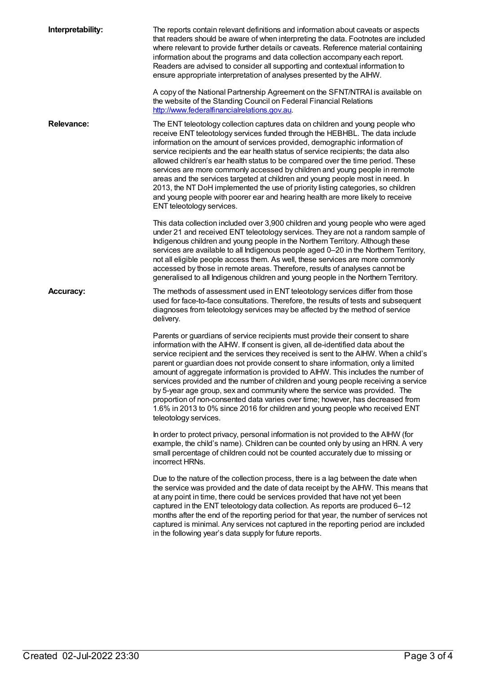| Interpretability: | The reports contain relevant definitions and information about caveats or aspects<br>that readers should be aware of when interpreting the data. Footnotes are included<br>where relevant to provide further details or caveats. Reference material containing<br>information about the programs and data collection accompany each report.<br>Readers are advised to consider all supporting and contextual information to<br>ensure appropriate interpretation of analyses presented by the AIHW.<br>A copy of the National Partnership Agreement on the SFNT/NTRAI is available on                                                                                                                                                                                                            |
|-------------------|--------------------------------------------------------------------------------------------------------------------------------------------------------------------------------------------------------------------------------------------------------------------------------------------------------------------------------------------------------------------------------------------------------------------------------------------------------------------------------------------------------------------------------------------------------------------------------------------------------------------------------------------------------------------------------------------------------------------------------------------------------------------------------------------------|
|                   | the website of the Standing Council on Federal Financial Relations<br>http://www.federalfinancialrelations.gov.au.                                                                                                                                                                                                                                                                                                                                                                                                                                                                                                                                                                                                                                                                               |
| <b>Relevance:</b> | The ENT teleotology collection captures data on children and young people who<br>receive ENT teleotology services funded through the HEBHBL. The data include<br>information on the amount of services provided, demographic information of<br>service recipients and the ear health status of service recipients; the data also<br>allowed children's ear health status to be compared over the time period. These<br>services are more commonly accessed by children and young people in remote<br>areas and the services targeted at children and young people most in need. In<br>2013, the NT DoH implemented the use of priority listing categories, so children<br>and young people with poorer ear and hearing health are more likely to receive<br>ENT teleotology services.            |
|                   | This data collection included over 3,900 children and young people who were aged<br>under 21 and received ENT teleotology services. They are not a random sample of<br>Indigenous children and young people in the Northern Territory. Although these<br>services are available to all Indigenous people aged 0-20 in the Northern Territory,<br>not all eligible people access them. As well, these services are more commonly<br>accessed by those in remote areas. Therefore, results of analyses cannot be<br>generalised to all Indigenous children and young people in the Northern Territory.                                                                                                                                                                                             |
| <b>Accuracy:</b>  | The methods of assessment used in ENT teleotology services differ from those<br>used for face-to-face consultations. Therefore, the results of tests and subsequent<br>diagnoses from teleotology services may be affected by the method of service<br>delivery.                                                                                                                                                                                                                                                                                                                                                                                                                                                                                                                                 |
|                   | Parents or guardians of service recipients must provide their consent to share<br>information with the AIHW. If consent is given, all de-identified data about the<br>service recipient and the services they received is sent to the AIHW. When a child's<br>parent or guardian does not provide consent to share information, only a limited<br>amount of aggregate information is provided to AIHW. This includes the number of<br>services provided and the number of children and young people receiving a service<br>by 5-year age group, sex and community where the service was provided. The<br>proportion of non-consented data varies over time; however, has decreased from<br>1.6% in 2013 to 0% since 2016 for children and young people who received ENT<br>teleotology services. |
|                   | In order to protect privacy, personal information is not provided to the AIHW (for<br>example, the child's name). Children can be counted only by using an HRN. A very<br>small percentage of children could not be counted accurately due to missing or<br>incorrect HRNs.                                                                                                                                                                                                                                                                                                                                                                                                                                                                                                                      |
|                   | Due to the nature of the collection process, there is a lag between the date when<br>the service was provided and the date of data receipt by the AIHW. This means that<br>at any point in time, there could be services provided that have not yet been<br>captured in the ENT teleotology data collection. As reports are produced 6-12<br>months after the end of the reporting period for that year, the number of services not<br>captured is minimal. Any services not captured in the reporting period are included<br>in the following year's data supply for future reports.                                                                                                                                                                                                            |